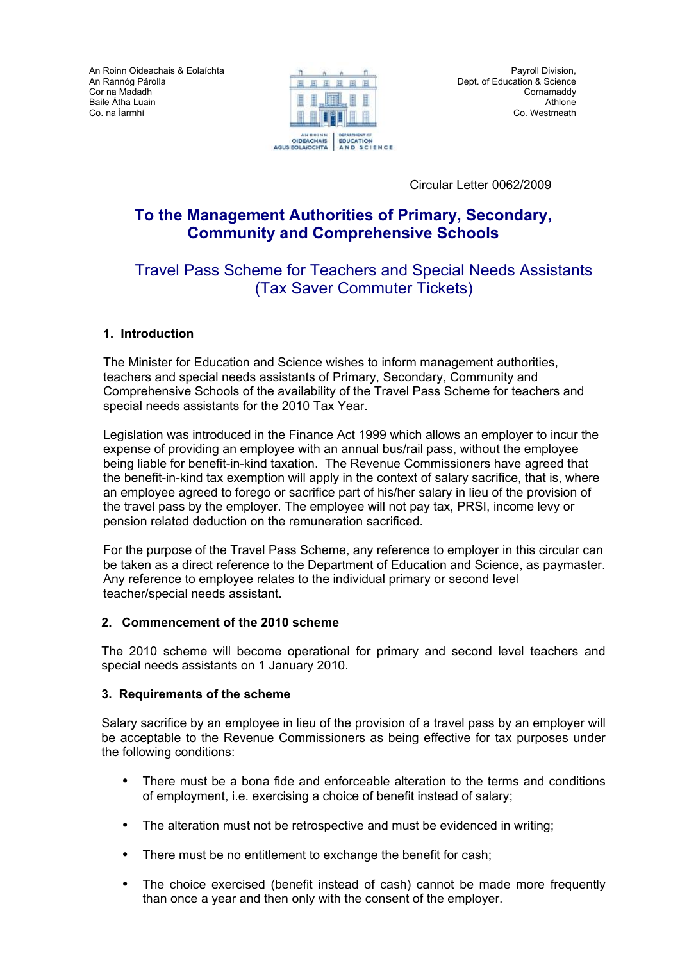An Roinn Oideachais & Eolaíchta An Rannόg Párolla Cor na Madadh Baile Átha Luain Co. na Íarmhí



Circular Letter 0062/2009

# **To the Management Authorities of Primary, Secondary, Community and Comprehensive Schools**

# Travel Pass Scheme for Teachers and Special Needs Assistants (Tax Saver Commuter Tickets)

### **1. Introduction**

The Minister for Education and Science wishes to inform management authorities, teachers and special needs assistants of Primary, Secondary, Community and Comprehensive Schools of the availability of the Travel Pass Scheme for teachers and special needs assistants for the 2010 Tax Year.

Legislation was introduced in the Finance Act 1999 which allows an employer to incur the expense of providing an employee with an annual bus/rail pass, without the employee being liable for benefit-in-kind taxation. The Revenue Commissioners have agreed that the benefit-in-kind tax exemption will apply in the context of salary sacrifice, that is, where an employee agreed to forego or sacrifice part of his/her salary in lieu of the provision of the travel pass by the employer. The employee will not pay tax, PRSI, income levy or pension related deduction on the remuneration sacrificed.

For the purpose of the Travel Pass Scheme, any reference to employer in this circular can be taken as a direct reference to the Department of Education and Science, as paymaster. Any reference to employee relates to the individual primary or second level teacher/special needs assistant.

### **2. Commencement of the 2010 scheme**

The 2010 scheme will become operational for primary and second level teachers and special needs assistants on 1 January 2010.

### **3. Requirements of the scheme**

Salary sacrifice by an employee in lieu of the provision of a travel pass by an employer will be acceptable to the Revenue Commissioners as being effective for tax purposes under the following conditions:

- There must be a bona fide and enforceable alteration to the terms and conditions of employment, i.e. exercising a choice of benefit instead of salary;
- The alteration must not be retrospective and must be evidenced in writing;
- There must be no entitlement to exchange the benefit for cash;
- The choice exercised (benefit instead of cash) cannot be made more frequently than once a year and then only with the consent of the employer.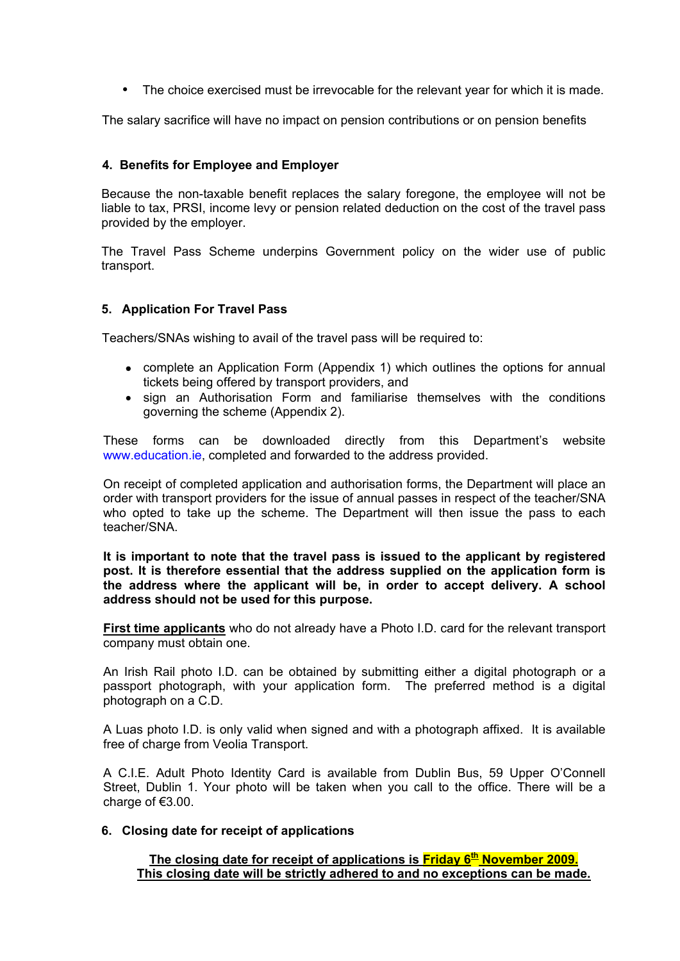• The choice exercised must be irrevocable for the relevant year for which it is made.

The salary sacrifice will have no impact on pension contributions or on pension benefits

### **4. Benefits for Employee and Employer**

Because the non-taxable benefit replaces the salary foregone, the employee will not be liable to tax, PRSI, income levy or pension related deduction on the cost of the travel pass provided by the employer.

The Travel Pass Scheme underpins Government policy on the wider use of public transport.

### **5. Application For Travel Pass**

Teachers/SNAs wishing to avail of the travel pass will be required to:

- complete an Application Form (Appendix 1) which outlines the options for annual tickets being offered by transport providers, and
- sign an Authorisation Form and familiarise themselves with the conditions governing the scheme (Appendix 2).

These forms can be downloaded directly from this Department's website www.education.ie, completed and forwarded to the address provided.

On receipt of completed application and authorisation forms, the Department will place an order with transport providers for the issue of annual passes in respect of the teacher/SNA who opted to take up the scheme. The Department will then issue the pass to each teacher/SNA.

**It is important to note that the travel pass is issued to the applicant by registered post. It is therefore essential that the address supplied on the application form is the address where the applicant will be, in order to accept delivery. A school address should not be used for this purpose.** 

**First time applicants** who do not already have a Photo I.D. card for the relevant transport company must obtain one.

An Irish Rail photo I.D. can be obtained by submitting either a digital photograph or a passport photograph, with your application form. The preferred method is a digital photograph on a C.D.

A Luas photo I.D. is only valid when signed and with a photograph affixed. It is available free of charge from Veolia Transport.

A C.I.E. Adult Photo Identity Card is available from Dublin Bus, 59 Upper O'Connell Street, Dublin 1. Your photo will be taken when you call to the office. There will be a charge of €3.00.

#### **6. Closing date for receipt of applications**

The closing date for receipt of applications is **Friday 6<sup>th</sup> November 2009. This closing date will be strictly adhered to and no exceptions can be made.**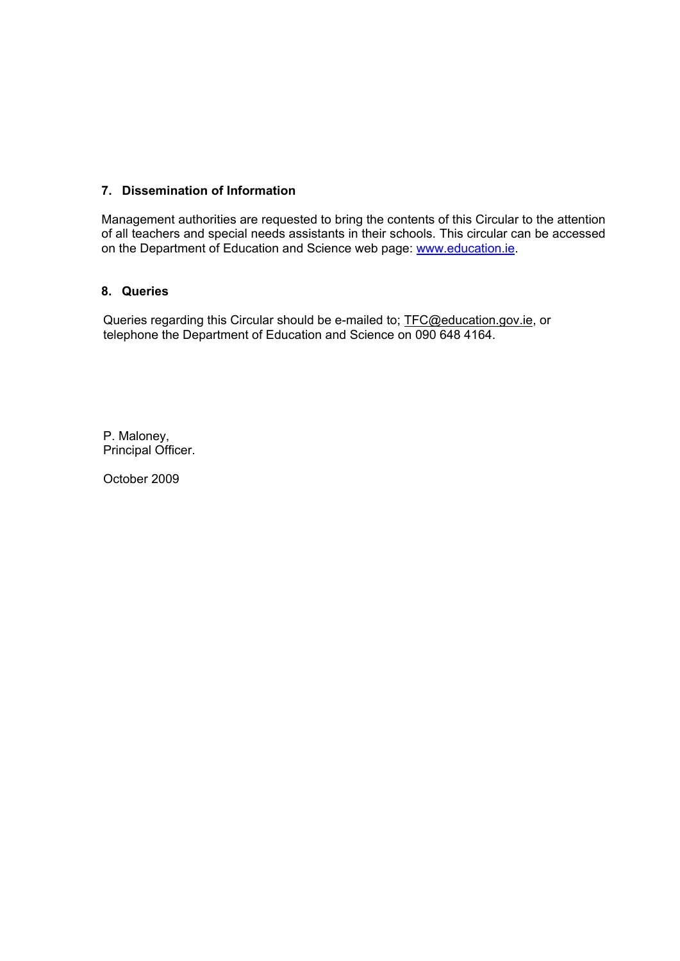### **7. Dissemination of Information**

Management authorities are requested to bring the contents of this Circular to the attention of all teachers and special needs assistants in their schools. This circular can be accessed on the Department of Education and Science web page: [www.education.ie.](http://www.education.ie/)

### **8. Queries**

Queries regarding this Circular should be e-mailed to; [TFC@education.gov.ie,](mailto:TFC@education.gov.ie) or telephone the Department of Education and Science on 090 648 4164.

P. Maloney, Principal Officer.

October 2009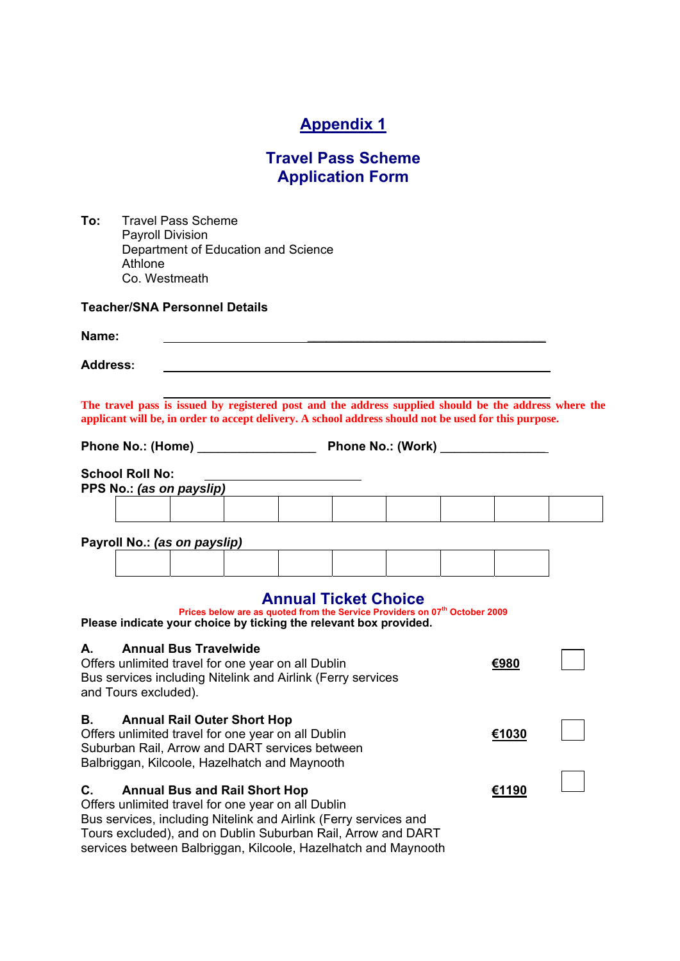# **Appendix 1**

## **Travel Pass Scheme Application Form**

| To: | <b>Travel Pass Scheme</b>           |
|-----|-------------------------------------|
|     | <b>Payroll Division</b>             |
|     | Department of Education and Science |
|     | Athlone                             |
|     | Co. Westmeath                       |

**Teacher/SNA Personnel Details** 

# **Name:**  $\qquad \qquad$ **Address: The travel pass is issued by registered post and the address supplied should be the address where the applicant will be, in order to accept delivery. A school address should not be used for this purpose. Phone No.: (Home)** \_\_\_\_\_\_\_\_\_\_\_\_\_\_\_\_\_ **Phone No.: (Work)** \_\_\_\_\_\_\_\_\_\_\_\_\_\_\_ **School Roll No: PPS No.:** *(as on payslip)* **Payroll No.:** *(as on payslip)*

### **Annual Ticket Choice**

| Prices below are as quoted from the Service Providers on 07 <sup>th</sup> October 2009<br>Please indicate your choice by ticking the relevant box provided.                                                                                                                                            |       |  |
|--------------------------------------------------------------------------------------------------------------------------------------------------------------------------------------------------------------------------------------------------------------------------------------------------------|-------|--|
| <b>Annual Bus Travelwide</b><br>А.<br>Offers unlimited travel for one year on all Dublin<br>Bus services including Nitelink and Airlink (Ferry services<br>and Tours excluded).                                                                                                                        | €980  |  |
| <b>Annual Rail Outer Short Hop</b><br>В.<br>Offers unlimited travel for one year on all Dublin<br>Suburban Rail, Arrow and DART services between<br>Balbriggan, Kilcoole, Hazelhatch and Maynooth                                                                                                      | €1030 |  |
| C.<br><b>Annual Bus and Rail Short Hop</b><br>Offers unlimited travel for one year on all Dublin<br>Bus services, including Nitelink and Airlink (Ferry services and<br>Tours excluded), and on Dublin Suburban Rail, Arrow and DART<br>services between Balbriggan, Kilcoole, Hazelhatch and Maynooth | €1190 |  |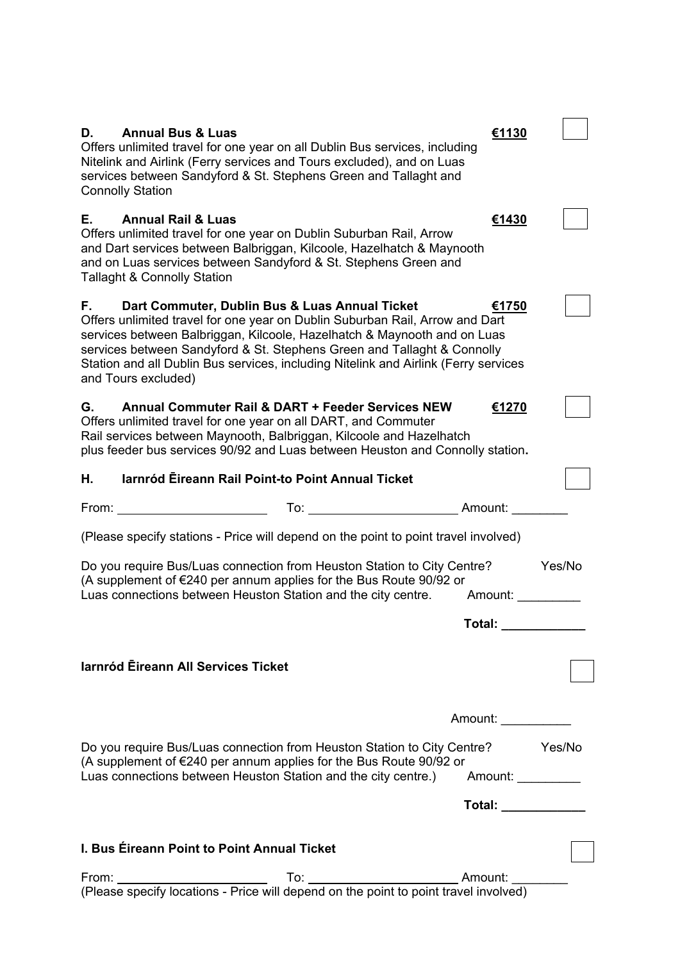| Е.<br><b>Annual Rail &amp; Luas</b><br>€1430<br>Offers unlimited travel for one year on Dublin Suburban Rail, Arrow<br>and Dart services between Balbriggan, Kilcoole, Hazelhatch & Maynooth<br>and on Luas services between Sandyford & St. Stephens Green and<br><b>Tallaght &amp; Connolly Station</b><br>F.<br>Dart Commuter, Dublin Bus & Luas Annual Ticket<br>€1750<br>Offers unlimited travel for one year on Dublin Suburban Rail, Arrow and Dart<br>services between Balbriggan, Kilcoole, Hazelhatch & Maynooth and on Luas<br>services between Sandyford & St. Stephens Green and Tallaght & Connolly<br>Station and all Dublin Bus services, including Nitelink and Airlink (Ferry services<br>and Tours excluded)<br>G.<br>Annual Commuter Rail & DART + Feeder Services NEW<br>€1270<br>Offers unlimited travel for one year on all DART, and Commuter<br>Rail services between Maynooth, Balbriggan, Kilcoole and Hazelhatch<br>plus feeder bus services 90/92 and Luas between Heuston and Connolly station.<br>Iarnród Eireann Rail Point-to Point Annual Ticket<br>Η.<br>To: Amount:<br>From: _<br>(Please specify stations - Price will depend on the point to point travel involved)<br>Do you require Bus/Luas connection from Heuston Station to City Centre?<br>Yes/No<br>(A supplement of $E$ 240 per annum applies for the Bus Route 90/92 or<br>Luas connections between Heuston Station and the city centre.<br>Amount:<br>Total:<br>larnród Eireann All Services Ticket<br>Amount:<br>Do you require Bus/Luas connection from Heuston Station to City Centre? The Yes/No<br>(A supplement of €240 per annum applies for the Bus Route 90/92 or<br>Luas connections between Heuston Station and the city centre.) Amount: ________<br>Total: www.communications.com<br>I. Bus Éireann Point to Point Annual Ticket | D.<br><b>Annual Bus &amp; Luas</b><br>Offers unlimited travel for one year on all Dublin Bus services, including<br>Nitelink and Airlink (Ferry services and Tours excluded), and on Luas<br>services between Sandyford & St. Stephens Green and Tallaght and<br><b>Connolly Station</b> | €1130 |  |
|------------------------------------------------------------------------------------------------------------------------------------------------------------------------------------------------------------------------------------------------------------------------------------------------------------------------------------------------------------------------------------------------------------------------------------------------------------------------------------------------------------------------------------------------------------------------------------------------------------------------------------------------------------------------------------------------------------------------------------------------------------------------------------------------------------------------------------------------------------------------------------------------------------------------------------------------------------------------------------------------------------------------------------------------------------------------------------------------------------------------------------------------------------------------------------------------------------------------------------------------------------------------------------------------------------------------------------------------------------------------------------------------------------------------------------------------------------------------------------------------------------------------------------------------------------------------------------------------------------------------------------------------------------------------------------------------------------------------------------------------------------------------------------------------------------------------------------------------|------------------------------------------------------------------------------------------------------------------------------------------------------------------------------------------------------------------------------------------------------------------------------------------|-------|--|
|                                                                                                                                                                                                                                                                                                                                                                                                                                                                                                                                                                                                                                                                                                                                                                                                                                                                                                                                                                                                                                                                                                                                                                                                                                                                                                                                                                                                                                                                                                                                                                                                                                                                                                                                                                                                                                                |                                                                                                                                                                                                                                                                                          |       |  |
|                                                                                                                                                                                                                                                                                                                                                                                                                                                                                                                                                                                                                                                                                                                                                                                                                                                                                                                                                                                                                                                                                                                                                                                                                                                                                                                                                                                                                                                                                                                                                                                                                                                                                                                                                                                                                                                |                                                                                                                                                                                                                                                                                          |       |  |
|                                                                                                                                                                                                                                                                                                                                                                                                                                                                                                                                                                                                                                                                                                                                                                                                                                                                                                                                                                                                                                                                                                                                                                                                                                                                                                                                                                                                                                                                                                                                                                                                                                                                                                                                                                                                                                                |                                                                                                                                                                                                                                                                                          |       |  |
|                                                                                                                                                                                                                                                                                                                                                                                                                                                                                                                                                                                                                                                                                                                                                                                                                                                                                                                                                                                                                                                                                                                                                                                                                                                                                                                                                                                                                                                                                                                                                                                                                                                                                                                                                                                                                                                |                                                                                                                                                                                                                                                                                          |       |  |
|                                                                                                                                                                                                                                                                                                                                                                                                                                                                                                                                                                                                                                                                                                                                                                                                                                                                                                                                                                                                                                                                                                                                                                                                                                                                                                                                                                                                                                                                                                                                                                                                                                                                                                                                                                                                                                                |                                                                                                                                                                                                                                                                                          |       |  |
|                                                                                                                                                                                                                                                                                                                                                                                                                                                                                                                                                                                                                                                                                                                                                                                                                                                                                                                                                                                                                                                                                                                                                                                                                                                                                                                                                                                                                                                                                                                                                                                                                                                                                                                                                                                                                                                |                                                                                                                                                                                                                                                                                          |       |  |
|                                                                                                                                                                                                                                                                                                                                                                                                                                                                                                                                                                                                                                                                                                                                                                                                                                                                                                                                                                                                                                                                                                                                                                                                                                                                                                                                                                                                                                                                                                                                                                                                                                                                                                                                                                                                                                                |                                                                                                                                                                                                                                                                                          |       |  |
|                                                                                                                                                                                                                                                                                                                                                                                                                                                                                                                                                                                                                                                                                                                                                                                                                                                                                                                                                                                                                                                                                                                                                                                                                                                                                                                                                                                                                                                                                                                                                                                                                                                                                                                                                                                                                                                |                                                                                                                                                                                                                                                                                          |       |  |
|                                                                                                                                                                                                                                                                                                                                                                                                                                                                                                                                                                                                                                                                                                                                                                                                                                                                                                                                                                                                                                                                                                                                                                                                                                                                                                                                                                                                                                                                                                                                                                                                                                                                                                                                                                                                                                                |                                                                                                                                                                                                                                                                                          |       |  |
|                                                                                                                                                                                                                                                                                                                                                                                                                                                                                                                                                                                                                                                                                                                                                                                                                                                                                                                                                                                                                                                                                                                                                                                                                                                                                                                                                                                                                                                                                                                                                                                                                                                                                                                                                                                                                                                |                                                                                                                                                                                                                                                                                          |       |  |
|                                                                                                                                                                                                                                                                                                                                                                                                                                                                                                                                                                                                                                                                                                                                                                                                                                                                                                                                                                                                                                                                                                                                                                                                                                                                                                                                                                                                                                                                                                                                                                                                                                                                                                                                                                                                                                                |                                                                                                                                                                                                                                                                                          |       |  |
|                                                                                                                                                                                                                                                                                                                                                                                                                                                                                                                                                                                                                                                                                                                                                                                                                                                                                                                                                                                                                                                                                                                                                                                                                                                                                                                                                                                                                                                                                                                                                                                                                                                                                                                                                                                                                                                |                                                                                                                                                                                                                                                                                          |       |  |
|                                                                                                                                                                                                                                                                                                                                                                                                                                                                                                                                                                                                                                                                                                                                                                                                                                                                                                                                                                                                                                                                                                                                                                                                                                                                                                                                                                                                                                                                                                                                                                                                                                                                                                                                                                                                                                                |                                                                                                                                                                                                                                                                                          |       |  |
|                                                                                                                                                                                                                                                                                                                                                                                                                                                                                                                                                                                                                                                                                                                                                                                                                                                                                                                                                                                                                                                                                                                                                                                                                                                                                                                                                                                                                                                                                                                                                                                                                                                                                                                                                                                                                                                |                                                                                                                                                                                                                                                                                          |       |  |
|                                                                                                                                                                                                                                                                                                                                                                                                                                                                                                                                                                                                                                                                                                                                                                                                                                                                                                                                                                                                                                                                                                                                                                                                                                                                                                                                                                                                                                                                                                                                                                                                                                                                                                                                                                                                                                                |                                                                                                                                                                                                                                                                                          |       |  |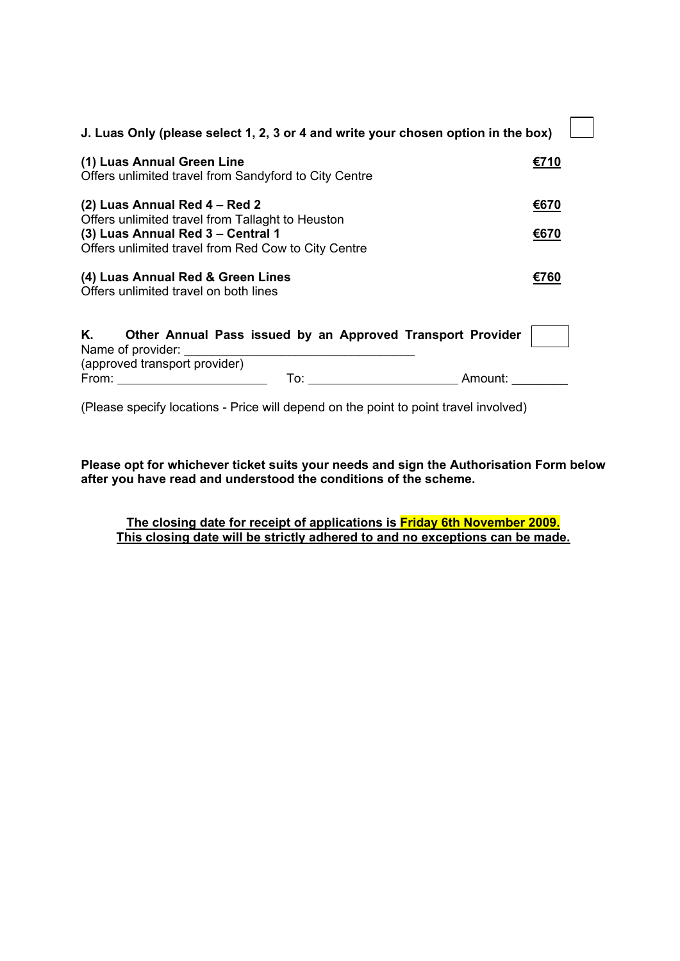| J. Luas Only (please select 1, 2, 3 or 4 and write your chosen option in the box)               |      |
|-------------------------------------------------------------------------------------------------|------|
| (1) Luas Annual Green Line<br>Offers unlimited travel from Sandyford to City Centre             | €710 |
| (2) Luas Annual Red 4 – Red 2<br>Offers unlimited travel from Tallaght to Heuston               | €670 |
| (3) Luas Annual Red 3 - Central 1<br>Offers unlimited travel from Red Cow to City Centre        | €670 |
| (4) Luas Annual Red & Green Lines<br>Offers unlimited travel on both lines                      | €760 |
| K. <b>K.</b><br>Other Annual Pass issued by an Approved Transport Provider<br>Name of provider: |      |
| (approved transport provider)<br>From:<br>Amount:<br>To:                                        |      |

(Please specify locations - Price will depend on the point to point travel involved)

**Please opt for whichever ticket suits your needs and sign the Authorisation Form below after you have read and understood the conditions of the scheme.** 

**The closing date for receipt of applications is Friday 6th November 2009. This closing date will be strictly adhered to and no exceptions can be made.**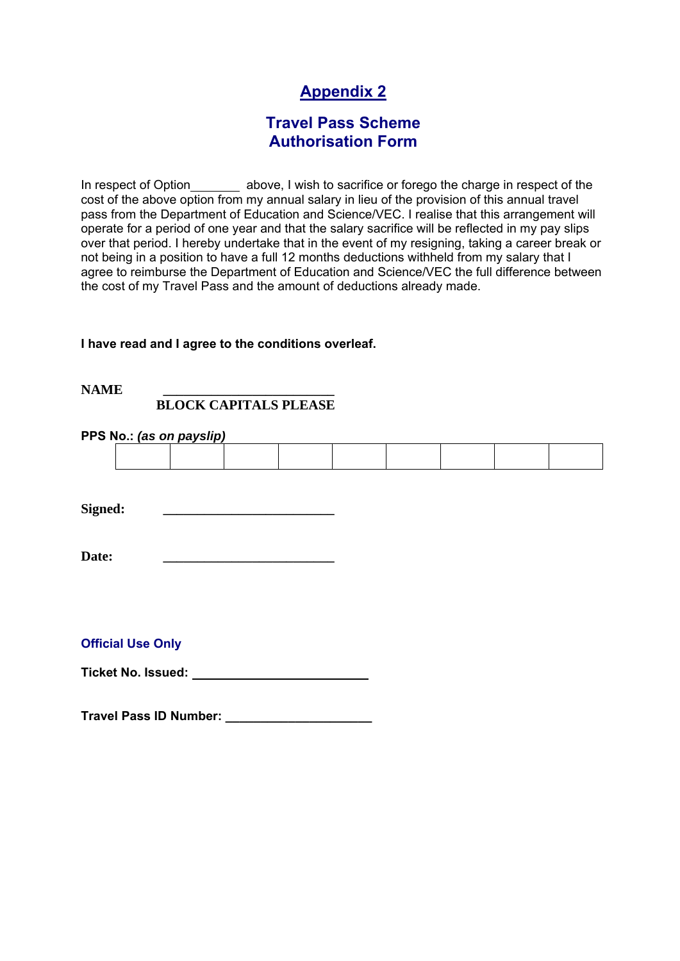# **Appendix 2**

## **Travel Pass Scheme Authorisation Form**

In respect of Option \_\_\_\_\_\_\_\_ above, I wish to sacrifice or forego the charge in respect of the cost of the above option from my annual salary in lieu of the provision of this annual travel pass from the Department of Education and Science/VEC. I realise that this arrangement will operate for a period of one year and that the salary sacrifice will be reflected in my pay slips over that period. I hereby undertake that in the event of my resigning, taking a career break or not being in a position to have a full 12 months deductions withheld from my salary that I agree to reimburse the Department of Education and Science/VEC the full difference between the cost of my Travel Pass and the amount of deductions already made.

### **I have read and I agree to the conditions overleaf.**

### NAME  **BLOCK CAPITALS PLEASE**

### **PPS No.:** *(as on payslip)*

Signed:

Date:

### **Official Use Only**

**Ticket No. Issued:** 

**Travel Pass ID Number: \_\_\_\_\_\_\_\_\_\_\_\_\_\_\_\_\_\_\_\_\_**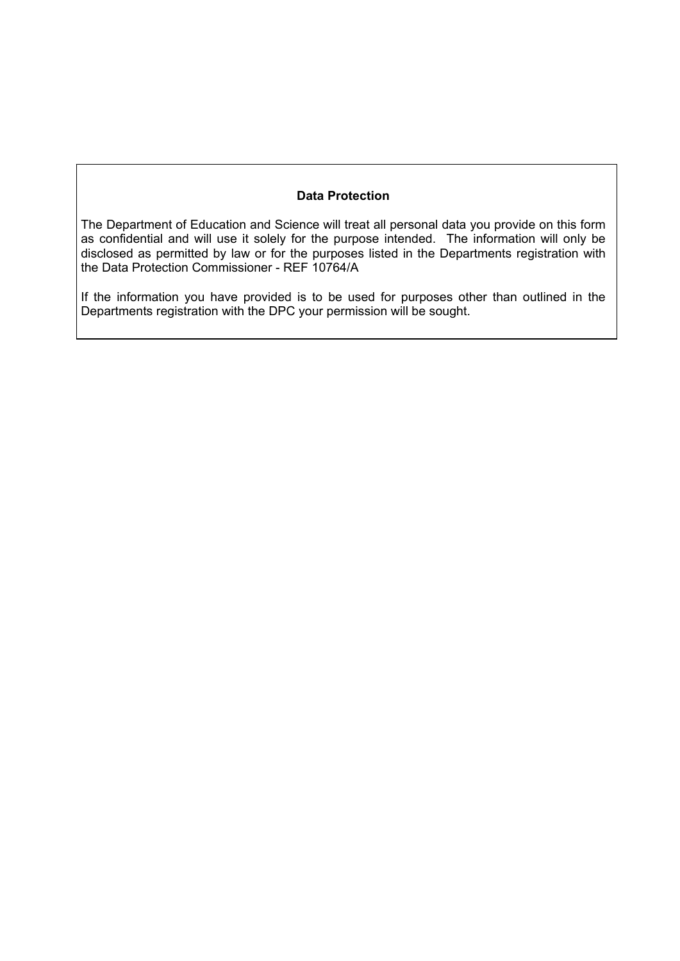### **Data Protection**

The Department of Education and Science will treat all personal data you provide on this form as confidential and will use it solely for the purpose intended. The information will only be disclosed as permitted by law or for the purposes listed in the Departments registration with the Data Protection Commissioner - REF 10764/A

If the information you have provided is to be used for purposes other than outlined in the Departments registration with the DPC your permission will be sought.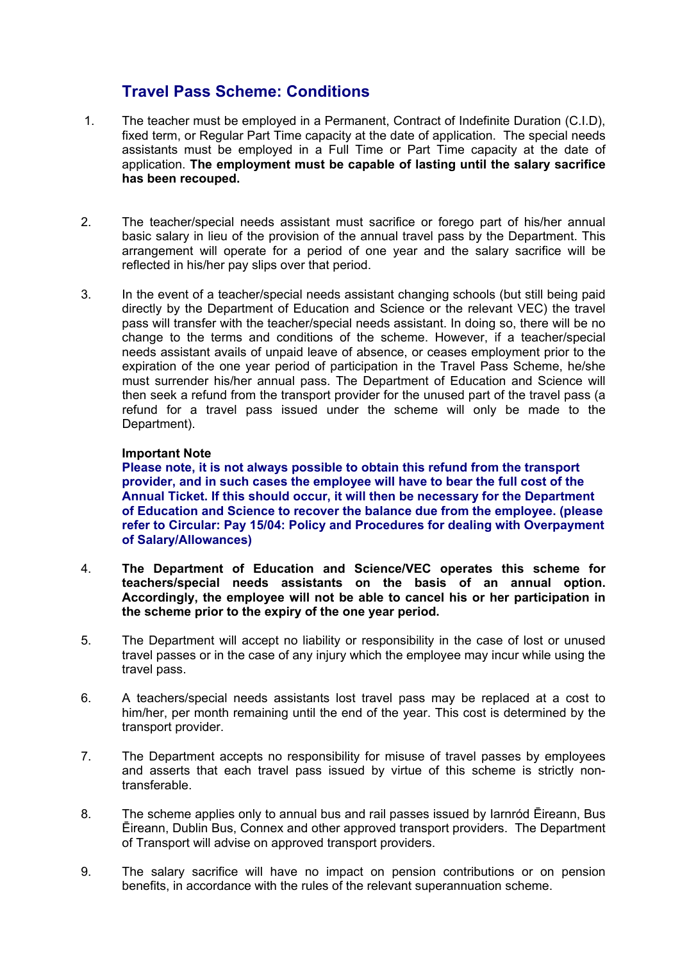## **Travel Pass Scheme: Conditions**

- 1. The teacher must be employed in a Permanent, Contract of Indefinite Duration (C.I.D), fixed term, or Regular Part Time capacity at the date of application. The special needs assistants must be employed in a Full Time or Part Time capacity at the date of application. **The employment must be capable of lasting until the salary sacrifice has been recouped.**
- 2. The teacher/special needs assistant must sacrifice or forego part of his/her annual basic salary in lieu of the provision of the annual travel pass by the Department. This arrangement will operate for a period of one year and the salary sacrifice will be reflected in his/her pay slips over that period.
- 3. In the event of a teacher/special needs assistant changing schools (but still being paid directly by the Department of Education and Science or the relevant VEC) the travel pass will transfer with the teacher/special needs assistant. In doing so, there will be no change to the terms and conditions of the scheme. However, if a teacher/special needs assistant avails of unpaid leave of absence, or ceases employment prior to the expiration of the one year period of participation in the Travel Pass Scheme, he/she must surrender his/her annual pass. The Department of Education and Science will then seek a refund from the transport provider for the unused part of the travel pass (a refund for a travel pass issued under the scheme will only be made to the Department).

### **Important Note**

**Please note, it is not always possible to obtain this refund from the transport provider, and in such cases the employee will have to bear the full cost of the Annual Ticket. If this should occur, it will then be necessary for the Department of Education and Science to recover the balance due from the employee. (please refer to Circular: Pay 15/04: Policy and Procedures for dealing with Overpayment of Salary/Allowances)** 

- 4. **The Department of Education and Science/VEC operates this scheme for teachers/special needs assistants on the basis of an annual option. Accordingly, the employee will not be able to cancel his or her participation in the scheme prior to the expiry of the one year period.**
- 5. The Department will accept no liability or responsibility in the case of lost or unused travel passes or in the case of any injury which the employee may incur while using the travel pass.
- 6. A teachers/special needs assistants lost travel pass may be replaced at a cost to him/her, per month remaining until the end of the year. This cost is determined by the transport provider.
- 7. The Department accepts no responsibility for misuse of travel passes by employees and asserts that each travel pass issued by virtue of this scheme is strictly nontransferable.
- 8. The scheme applies only to annual bus and rail passes issued by Iarnród Ēireann, Bus Ēireann, Dublin Bus, Connex and other approved transport providers. The Department of Transport will advise on approved transport providers.
- 9. The salary sacrifice will have no impact on pension contributions or on pension benefits, in accordance with the rules of the relevant superannuation scheme.